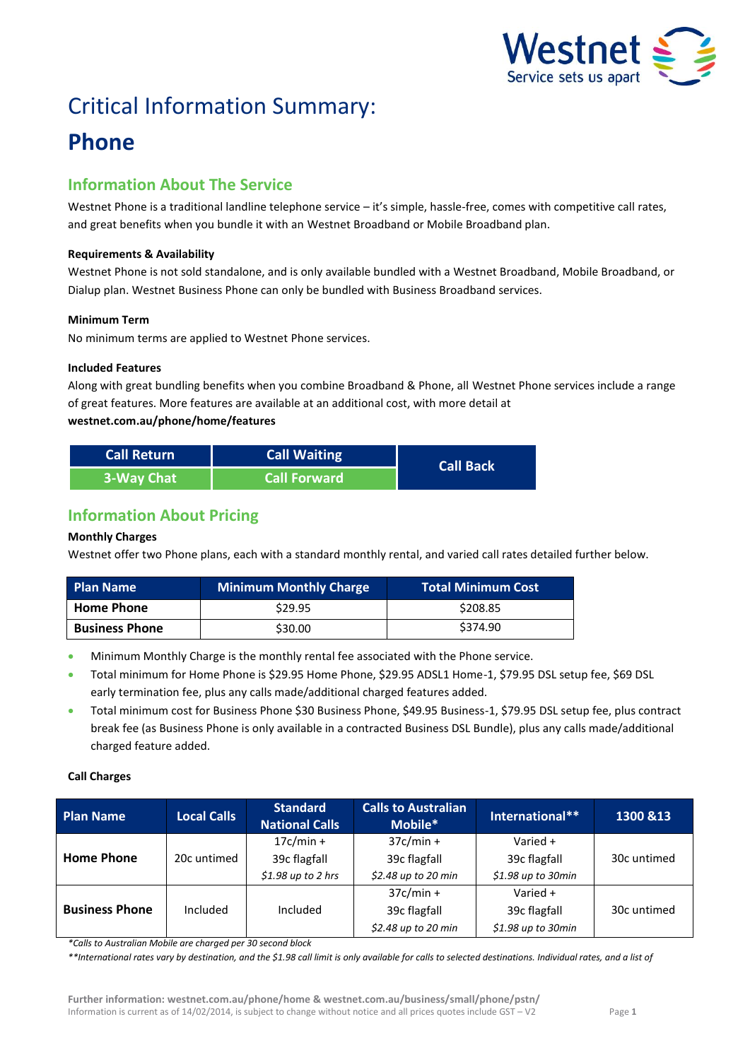

# Critical Information Summary:

## **Phone**

## **Information About The Service**

Westnet Phone is a traditional landline telephone service – it's simple, hassle-free, comes with competitive call rates, and great benefits when you bundle it with an Westnet Broadband or Mobile Broadband plan.

#### **Requirements & Availability**

Westnet Phone is not sold standalone, and is only available bundled with a Westnet Broadband, Mobile Broadband, or Dialup plan. Westnet Business Phone can only be bundled with Business Broadband services.

#### **Minimum Term**

No minimum terms are applied to Westnet Phone services.

#### **Included Features**

Along with great bundling benefits when you combine Broadband & Phone, all Westnet Phone services include a range of great features. More features are available at an additional cost, with more detail at **westnet.com.au/phone/home/features**

| <b>Call Return</b> | <b>Call Waiting</b> | <b>Call Back</b> |
|--------------------|---------------------|------------------|
| 3-Way Chat         | <b>Call Forward</b> |                  |

## **Information About Pricing**

### **Monthly Charges**

Westnet offer two Phone plans, each with a standard monthly rental, and varied call rates detailed further below.

| <b>Plan Name</b>      | <b>Minimum Monthly Charge</b> | <b>Total Minimum Cost</b> |
|-----------------------|-------------------------------|---------------------------|
| <b>Home Phone</b>     | \$29.95                       | \$208.85                  |
| <b>Business Phone</b> | \$30.00                       | \$374.90                  |

- Minimum Monthly Charge is the monthly rental fee associated with the Phone service.
- Total minimum for Home Phone is \$29.95 Home Phone, \$29.95 ADSL1 Home-1, \$79.95 DSL setup fee, \$69 DSL early termination fee, plus any calls made/additional charged features added.
- Total minimum cost for Business Phone \$30 Business Phone, \$49.95 Business-1, \$79.95 DSL setup fee, plus contract break fee (as Business Phone is only available in a contracted Business DSL Bundle), plus any calls made/additional charged feature added.

#### **Call Charges**

| <b>Plan Name</b>      | <b>Local Calls</b> | <b>Standard</b><br><b>National Calls</b> | <b>Calls to Australian</b><br>Mobile* | International**     | 1300 & 13   |
|-----------------------|--------------------|------------------------------------------|---------------------------------------|---------------------|-------------|
|                       |                    | $17c/min +$                              | $37c/min +$                           | Varied $+$          |             |
| <b>Home Phone</b>     | 20c untimed        | 39c flagfall                             | 39c flagfall                          | 39c flagfall        | 30c untimed |
|                       |                    | $$1.98$ up to 2 hrs                      | \$2.48 up to 20 min                   | $$1.98$ up to 30min |             |
|                       |                    |                                          | $37c/min +$                           | Varied $+$          |             |
| <b>Business Phone</b> | Included           | Included                                 | 39c flagfall                          | 39c flagfall        | 30c untimed |
|                       |                    |                                          | \$2.48 up to 20 min                   | $$1.98$ up to 30min |             |

*\*Calls to Australian Mobile are charged per 30 second block* 

*\*\*International rates vary by destination, and the \$1.98 call limit is only available for calls to selected destinations. Individual rates, and a list of*